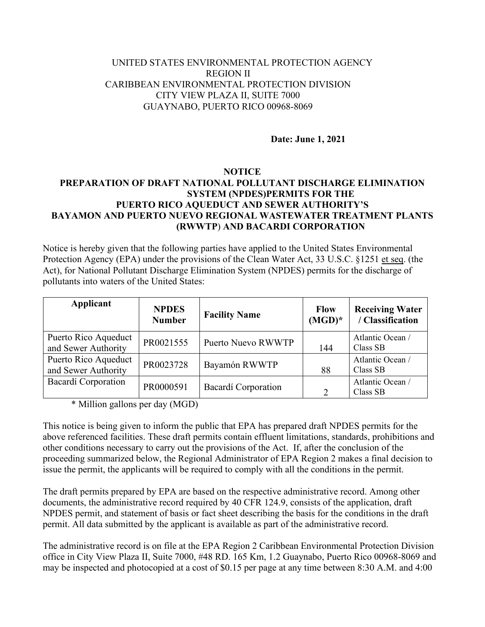## UNITED STATES ENVIRONMENTAL PROTECTION AGENCY REGION II CARIBBEAN ENVIRONMENTAL PROTECTION DIVISION CITY VIEW PLAZA II, SUITE 7000 GUAYNABO, PUERTO RICO 00968-8069

**Date: June 1, 2021**

## **NOTICE**

## **PREPARATION OF DRAFT NATIONAL POLLUTANT DISCHARGE ELIMINATION SYSTEM (NPDES)PERMITS FOR THE PUERTO RICO AQUEDUCT AND SEWER AUTHORITY'S BAYAMON AND PUERTO NUEVO REGIONAL WASTEWATER TREATMENT PLANTS (RWWTP**) **AND BACARDI CORPORATION**

Notice is hereby given that the following parties have applied to the United States Environmental Protection Agency (EPA) under the provisions of the Clean Water Act, 33 U.S.C. §1251 et seq. (the Act), for National Pollutant Discharge Elimination System (NPDES) permits for the discharge of pollutants into waters of the United States:

| <b>Applicant</b>                            | <b>NPDES</b><br><b>Number</b> | <b>Facility Name</b> | <b>Flow</b><br>$(MGD)^*$ | <b>Receiving Water</b><br>/ Classification |
|---------------------------------------------|-------------------------------|----------------------|--------------------------|--------------------------------------------|
| Puerto Rico Aqueduct<br>and Sewer Authority | PR0021555                     | Puerto Nuevo RWWTP   | 144                      | Atlantic Ocean /<br>Class SB               |
| Puerto Rico Aqueduct<br>and Sewer Authority | PR0023728                     | Bayamón RWWTP        | 88                       | Atlantic Ocean /<br>Class SB               |
| Bacardí Corporation                         | PR0000591                     | Bacardí Corporation  | $\mathcal{D}$            | Atlantic Ocean /<br>Class SB               |

\* Million gallons per day (MGD)

This notice is being given to inform the public that EPA has prepared draft NPDES permits for the above referenced facilities. These draft permits contain effluent limitations, standards, prohibitions and other conditions necessary to carry out the provisions of the Act. If, after the conclusion of the proceeding summarized below, the Regional Administrator of EPA Region 2 makes a final decision to issue the permit, the applicants will be required to comply with all the conditions in the permit.

The draft permits prepared by EPA are based on the respective administrative record. Among other documents, the administrative record required by 40 CFR 124.9, consists of the application, draft NPDES permit, and statement of basis or fact sheet describing the basis for the conditions in the draft permit. All data submitted by the applicant is available as part of the administrative record.

The administrative record is on file at the EPA Region 2 Caribbean Environmental Protection Division office in City View Plaza II, Suite 7000, #48 RD. 165 Km, 1.2 Guaynabo, Puerto Rico 00968-8069 and may be inspected and photocopied at a cost of \$0.15 per page at any time between 8:30 A.M. and 4:00